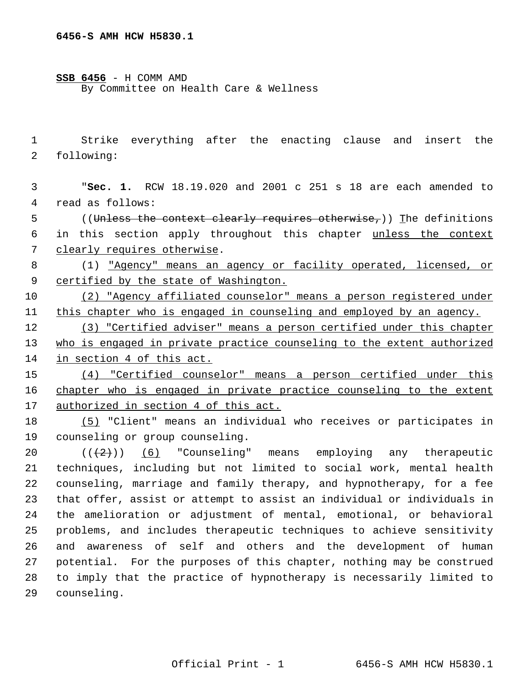## **SSB 6456** - H COMM AMD

By Committee on Health Care & Wellness

 Strike everything after the enacting clause and insert the following:

 "**Sec. 1.** RCW 18.19.020 and 2001 c 251 s 18 are each amended to read as follows:

5 ((Unless the context clearly requires otherwise,)) The definitions in this section apply throughout this chapter unless the context clearly requires otherwise.

 (1) "Agency" means an agency or facility operated, licensed, or certified by the state of Washington.

 (2) "Agency affiliated counselor" means a person registered under this chapter who is engaged in counseling and employed by an agency.

 (3) "Certified adviser" means a person certified under this chapter 13 who is engaged in private practice counseling to the extent authorized in section 4 of this act.

 (4) "Certified counselor" means a person certified under this 16 chapter who is engaged in private practice counseling to the extent authorized in section 4 of this act.

 (5) "Client" means an individual who receives or participates in counseling or group counseling.

 $((+2))$   $(6)$  "Counseling" means employing any therapeutic techniques, including but not limited to social work, mental health counseling, marriage and family therapy, and hypnotherapy, for a fee that offer, assist or attempt to assist an individual or individuals in the amelioration or adjustment of mental, emotional, or behavioral problems, and includes therapeutic techniques to achieve sensitivity and awareness of self and others and the development of human potential. For the purposes of this chapter, nothing may be construed to imply that the practice of hypnotherapy is necessarily limited to counseling.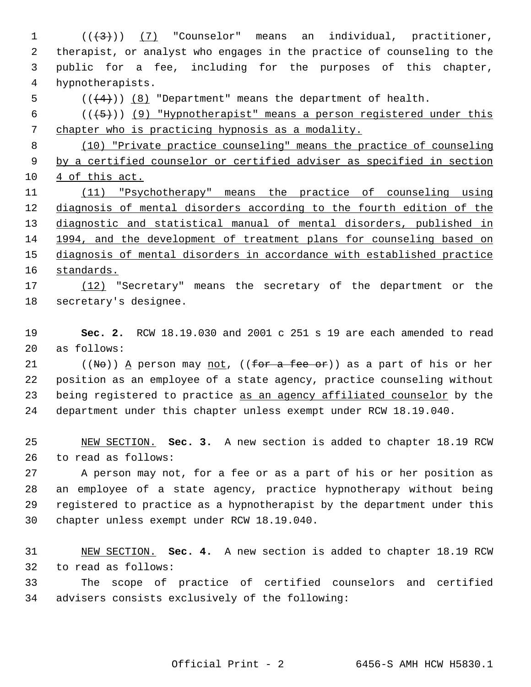$((+3))$  (7) "Counselor" means an individual, practitioner, therapist, or analyst who engages in the practice of counseling to the public for a fee, including for the purposes of this chapter, hypnotherapists.  $((+4))$   $(8)$  "Department" means the department of health.  $((+5))$  (9) "Hypnotherapist" means a person registered under this chapter who is practicing hypnosis as a modality. (10) "Private practice counseling" means the practice of counseling by a certified counselor or certified adviser as specified in section 4 of this act. (11) "Psychotherapy" means the practice of counseling using diagnosis of mental disorders according to the fourth edition of the diagnostic and statistical manual of mental disorders, published in 1994, and the development of treatment plans for counseling based on diagnosis of mental disorders in accordance with established practice standards. (12) "Secretary" means the secretary of the department or the secretary's designee. **Sec. 2.** RCW 18.19.030 and 2001 c 251 s 19 are each amended to read as follows: 21 ((No)) A person may not, ((for a fee or)) as a part of his or her position as an employee of a state agency, practice counseling without 23 being registered to practice as an agency affiliated counselor by the department under this chapter unless exempt under RCW 18.19.040. NEW SECTION. **Sec. 3.** A new section is added to chapter 18.19 RCW to read as follows: A person may not, for a fee or as a part of his or her position as an employee of a state agency, practice hypnotherapy without being registered to practice as a hypnotherapist by the department under this chapter unless exempt under RCW 18.19.040.

 NEW SECTION. **Sec. 4.** A new section is added to chapter 18.19 RCW to read as follows:

 The scope of practice of certified counselors and certified advisers consists exclusively of the following: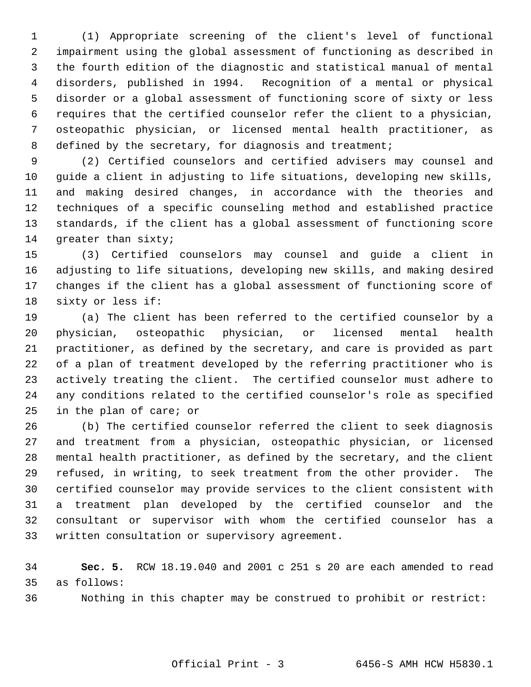(1) Appropriate screening of the client's level of functional impairment using the global assessment of functioning as described in the fourth edition of the diagnostic and statistical manual of mental disorders, published in 1994. Recognition of a mental or physical disorder or a global assessment of functioning score of sixty or less requires that the certified counselor refer the client to a physician, osteopathic physician, or licensed mental health practitioner, as 8 defined by the secretary, for diagnosis and treatment;

 (2) Certified counselors and certified advisers may counsel and guide a client in adjusting to life situations, developing new skills, and making desired changes, in accordance with the theories and techniques of a specific counseling method and established practice standards, if the client has a global assessment of functioning score greater than sixty;

 (3) Certified counselors may counsel and guide a client in adjusting to life situations, developing new skills, and making desired changes if the client has a global assessment of functioning score of sixty or less if:

 (a) The client has been referred to the certified counselor by a physician, osteopathic physician, or licensed mental health practitioner, as defined by the secretary, and care is provided as part of a plan of treatment developed by the referring practitioner who is actively treating the client. The certified counselor must adhere to any conditions related to the certified counselor's role as specified in the plan of care; or

 (b) The certified counselor referred the client to seek diagnosis and treatment from a physician, osteopathic physician, or licensed mental health practitioner, as defined by the secretary, and the client refused, in writing, to seek treatment from the other provider. The certified counselor may provide services to the client consistent with a treatment plan developed by the certified counselor and the consultant or supervisor with whom the certified counselor has a written consultation or supervisory agreement.

 **Sec. 5.** RCW 18.19.040 and 2001 c 251 s 20 are each amended to read as follows:

Nothing in this chapter may be construed to prohibit or restrict: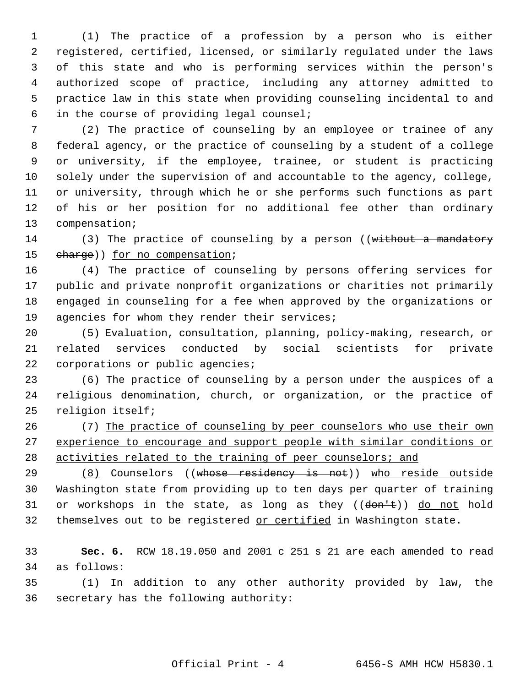(1) The practice of a profession by a person who is either registered, certified, licensed, or similarly regulated under the laws of this state and who is performing services within the person's authorized scope of practice, including any attorney admitted to practice law in this state when providing counseling incidental to and in the course of providing legal counsel;

 (2) The practice of counseling by an employee or trainee of any federal agency, or the practice of counseling by a student of a college or university, if the employee, trainee, or student is practicing solely under the supervision of and accountable to the agency, college, or university, through which he or she performs such functions as part of his or her position for no additional fee other than ordinary compensation;

14 (3) The practice of counseling by a person ((without a mandatory 15 charge)) for no compensation;

 (4) The practice of counseling by persons offering services for public and private nonprofit organizations or charities not primarily engaged in counseling for a fee when approved by the organizations or 19 agencies for whom they render their services;

 (5) Evaluation, consultation, planning, policy-making, research, or related services conducted by social scientists for private 22 corporations or public agencies;

 (6) The practice of counseling by a person under the auspices of a religious denomination, church, or organization, or the practice of religion itself;

 (7) The practice of counseling by peer counselors who use their own experience to encourage and support people with similar conditions or 28 activities related to the training of peer counselors; and

29 (8) Counselors ((whose residency is not)) who reside outside Washington state from providing up to ten days per quarter of training 31 or workshops in the state, as long as they  $((\text{dom} \pm))$  do not hold 32 themselves out to be registered or certified in Washington state.

 **Sec. 6.** RCW 18.19.050 and 2001 c 251 s 21 are each amended to read as follows:

 (1) In addition to any other authority provided by law, the secretary has the following authority: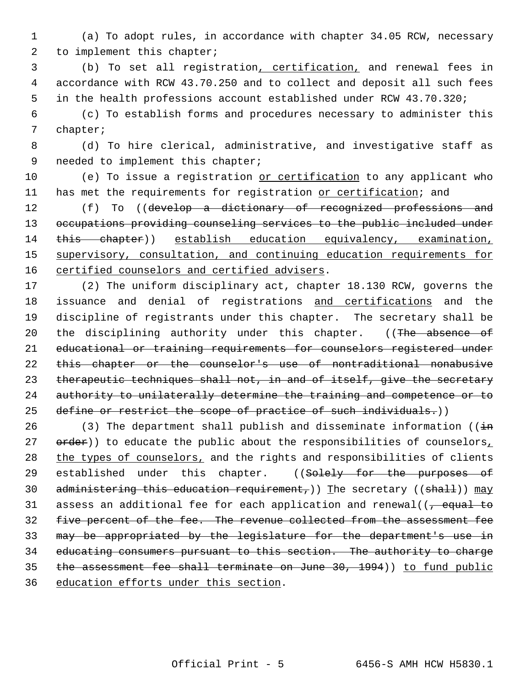1 (a) To adopt rules, in accordance with chapter 34.05 RCW, necessary 2 to implement this chapter;

 3 (b) To set all registration, certification, and renewal fees in 4 accordance with RCW 43.70.250 and to collect and deposit all such fees 5 in the health professions account established under RCW 43.70.320;

 6 (c) To establish forms and procedures necessary to administer this 7 chapter;

 8 (d) To hire clerical, administrative, and investigative staff as 9 needed to implement this chapter;

10 (e) To issue a registration or certification to any applicant who 11 has met the requirements for registration or certification; and

12 (f) To ((develop a dictionary of recognized professions and 13 occupations providing counseling services to the public included under 14 this chapter)) establish education equivalency, examination, 15 supervisory, consultation, and continuing education requirements for 16 certified counselors and certified advisers.

17 (2) The uniform disciplinary act, chapter 18.130 RCW, governs the 18 issuance and denial of registrations and certifications and the 19 discipline of registrants under this chapter. The secretary shall be 20 the disciplining authority under this chapter. ((The absence of 21 educational or training requirements for counselors registered under 22 this chapter or the counselor's use of nontraditional nonabusive 23 therapeutic techniques shall not, in and of itself, give the secretary 24 authority to unilaterally determine the training and competence or to 25 define or restrict the scope of practice of such individuals.))

26 (3) The department shall publish and disseminate information ( $(i+n)$ 27 order)) to educate the public about the responsibilities of counselors, 28 the types of counselors, and the rights and responsibilities of clients 29 established under this chapter. ((Solely for the purposes of 30 administering this education requirement,)) The secretary ((shall))  $\text{may}$ 31 assess an additional fee for each application and renewal( $\sqrt{\frac{1}{2} + \frac{1}{2}}$ 32 five percent of the fee. The revenue collected from the assessment fee 33 may be appropriated by the legislature for the department's use in 34 educating consumers pursuant to this section. The authority to charge 35 the assessment fee shall terminate on June 30, 1994)) to fund public 36 education efforts under this section.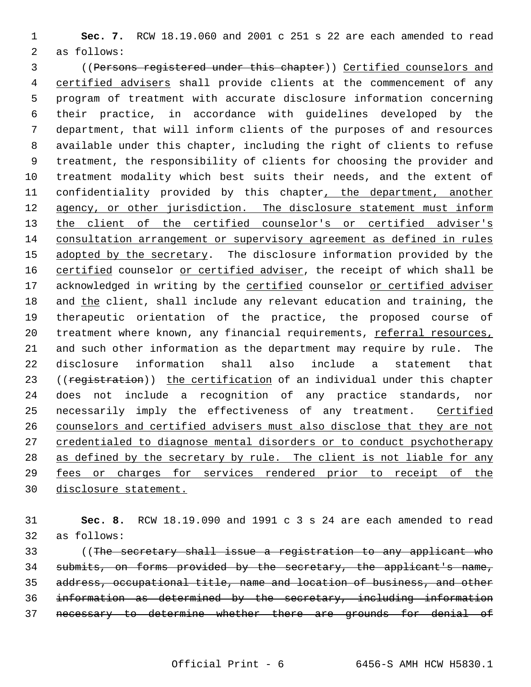**Sec. 7.** RCW 18.19.060 and 2001 c 251 s 22 are each amended to read as follows:

 ((Persons registered under this chapter)) Certified counselors and 4 certified advisers shall provide clients at the commencement of any program of treatment with accurate disclosure information concerning their practice, in accordance with guidelines developed by the department, that will inform clients of the purposes of and resources available under this chapter, including the right of clients to refuse treatment, the responsibility of clients for choosing the provider and treatment modality which best suits their needs, and the extent of 11 confidentiality provided by this chapter, the department, another 12 agency, or other jurisdiction. The disclosure statement must inform 13 the client of the certified counselor's or certified adviser's consultation arrangement or supervisory agreement as defined in rules 15 adopted by the secretary. The disclosure information provided by the 16 certified counselor or certified adviser, the receipt of which shall be 17 acknowledged in writing by the certified counselor or certified adviser 18 and the client, shall include any relevant education and training, the therapeutic orientation of the practice, the proposed course of 20 treatment where known, any financial requirements, referral resources, and such other information as the department may require by rule. The disclosure information shall also include a statement that 23 ((registration)) the certification of an individual under this chapter does not include a recognition of any practice standards, nor 25 necessarily imply the effectiveness of any treatment. Certified counselors and certified advisers must also disclose that they are not credentialed to diagnose mental disorders or to conduct psychotherapy 28 as defined by the secretary by rule. The client is not liable for any fees or charges for services rendered prior to receipt of the disclosure statement.

 **Sec. 8.** RCW 18.19.090 and 1991 c 3 s 24 are each amended to read as follows:

33 ((The secretary shall issue a registration to any applicant who submits, on forms provided by the secretary, the applicant's name, address, occupational title, name and location of business, and other information as determined by the secretary, including information necessary to determine whether there are grounds for denial of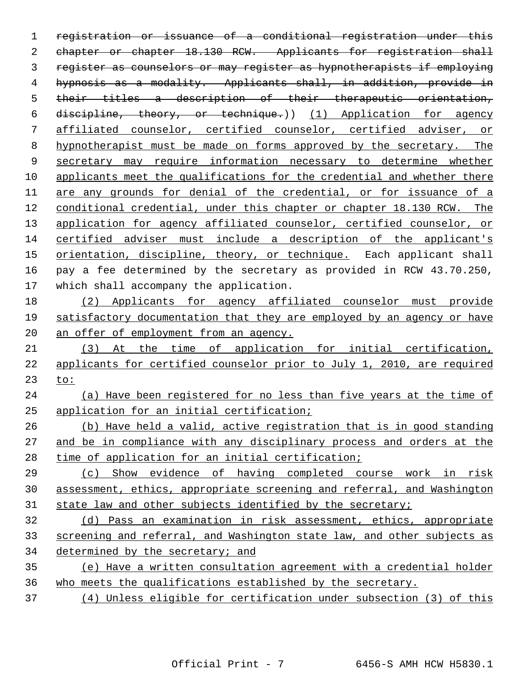registration or issuance of a conditional registration under this 2 chapter or chapter 18.130 RCW. Applicants for registration shall register as counselors or may register as hypnotherapists if employing hypnosis as a modality. Applicants shall, in addition, provide in their titles a description of their therapeutic orientation, discipline, theory, or technique.)) (1) Application for agency affiliated counselor, certified counselor, certified adviser, or hypnotherapist must be made on forms approved by the secretary. The secretary may require information necessary to determine whether applicants meet the qualifications for the credential and whether there are any grounds for denial of the credential, or for issuance of a conditional credential, under this chapter or chapter 18.130 RCW. The 13 application for agency affiliated counselor, certified counselor, or certified adviser must include a description of the applicant's 15 orientation, discipline, theory, or technique. Each applicant shall pay a fee determined by the secretary as provided in RCW 43.70.250, which shall accompany the application. (2) Applicants for agency affiliated counselor must provide satisfactory documentation that they are employed by an agency or have 20 an offer of employment from an agency. (3) At the time of application for initial certification, applicants for certified counselor prior to July 1, 2010, are required to: (a) Have been registered for no less than five years at the time of application for an initial certification; (b) Have held a valid, active registration that is in good standing and be in compliance with any disciplinary process and orders at the time of application for an initial certification; (c) Show evidence of having completed course work in risk assessment, ethics, appropriate screening and referral, and Washington 31 state law and other subjects identified by the secretary; (d) Pass an examination in risk assessment, ethics, appropriate screening and referral, and Washington state law, and other subjects as determined by the secretary; and (e) Have a written consultation agreement with a credential holder who meets the qualifications established by the secretary.

(4) Unless eligible for certification under subsection (3) of this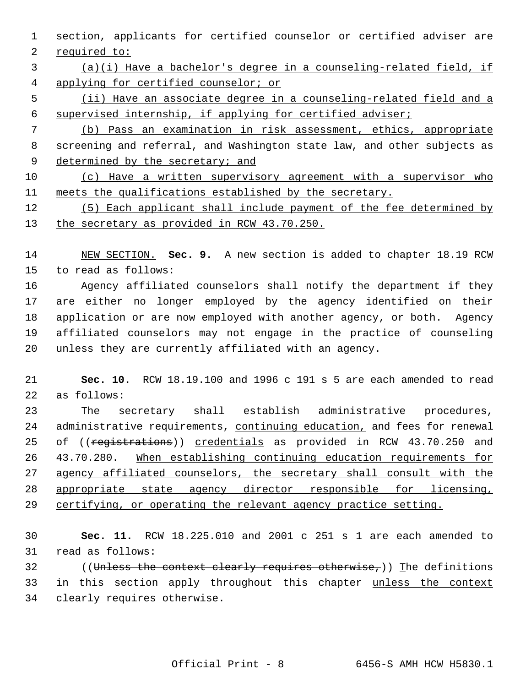section, applicants for certified counselor or certified adviser are required to:

 (a)(i) Have a bachelor's degree in a counseling-related field, if applying for certified counselor; or

 (ii) Have an associate degree in a counseling-related field and a supervised internship, if applying for certified adviser;

 (b) Pass an examination in risk assessment, ethics, appropriate screening and referral, and Washington state law, and other subjects as 9 determined by the secretary; and

 (c) Have a written supervisory agreement with a supervisor who meets the qualifications established by the secretary.

 (5) Each applicant shall include payment of the fee determined by 13 the secretary as provided in RCW 43.70.250.

 NEW SECTION. **Sec. 9.** A new section is added to chapter 18.19 RCW to read as follows:

 Agency affiliated counselors shall notify the department if they are either no longer employed by the agency identified on their application or are now employed with another agency, or both. Agency affiliated counselors may not engage in the practice of counseling unless they are currently affiliated with an agency.

 **Sec. 10.** RCW 18.19.100 and 1996 c 191 s 5 are each amended to read as follows:

 The secretary shall establish administrative procedures, 24 administrative requirements, continuing education, and fees for renewal 25 of ((registrations)) credentials as provided in RCW 43.70.250 and 43.70.280. When establishing continuing education requirements for agency affiliated counselors, the secretary shall consult with the appropriate state agency director responsible for licensing, 29 certifying, or operating the relevant agency practice setting.

 **Sec. 11.** RCW 18.225.010 and 2001 c 251 s 1 are each amended to read as follows:

32 ((Unless the context clearly requires otherwise,)) The definitions in this section apply throughout this chapter unless the context clearly requires otherwise.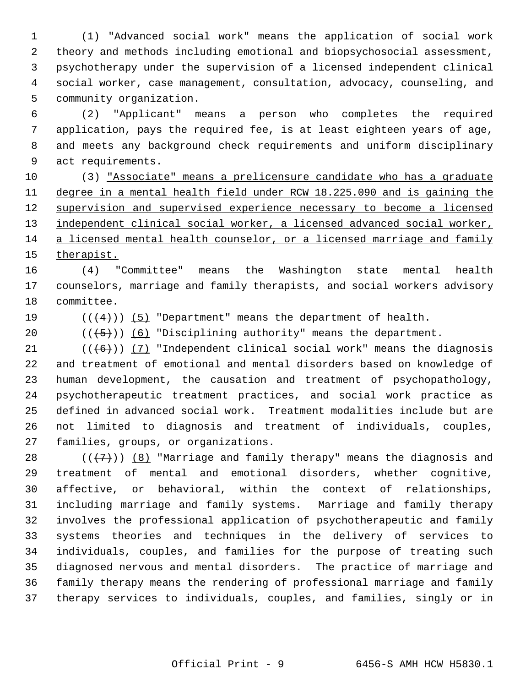(1) "Advanced social work" means the application of social work theory and methods including emotional and biopsychosocial assessment, psychotherapy under the supervision of a licensed independent clinical social worker, case management, consultation, advocacy, counseling, and community organization.

 (2) "Applicant" means a person who completes the required application, pays the required fee, is at least eighteen years of age, and meets any background check requirements and uniform disciplinary act requirements.

 (3) "Associate" means a prelicensure candidate who has a graduate degree in a mental health field under RCW 18.225.090 and is gaining the 12 supervision and supervised experience necessary to become a licensed 13 independent clinical social worker, a licensed advanced social worker, a licensed mental health counselor, or a licensed marriage and family therapist.

 (4) "Committee" means the Washington state mental health counselors, marriage and family therapists, and social workers advisory committee.

19  $((+4))$   $(5)$  "Department" means the department of health.

20  $((\overline{5}))$  (6) "Disciplining authority" means the department.

 $((\langle 6 \rangle) )$  (7) "Independent clinical social work" means the diagnosis and treatment of emotional and mental disorders based on knowledge of human development, the causation and treatment of psychopathology, psychotherapeutic treatment practices, and social work practice as defined in advanced social work. Treatment modalities include but are not limited to diagnosis and treatment of individuals, couples, families, groups, or organizations.

 $((+7))$  (8) "Marriage and family therapy" means the diagnosis and treatment of mental and emotional disorders, whether cognitive, affective, or behavioral, within the context of relationships, including marriage and family systems. Marriage and family therapy involves the professional application of psychotherapeutic and family systems theories and techniques in the delivery of services to individuals, couples, and families for the purpose of treating such diagnosed nervous and mental disorders. The practice of marriage and family therapy means the rendering of professional marriage and family therapy services to individuals, couples, and families, singly or in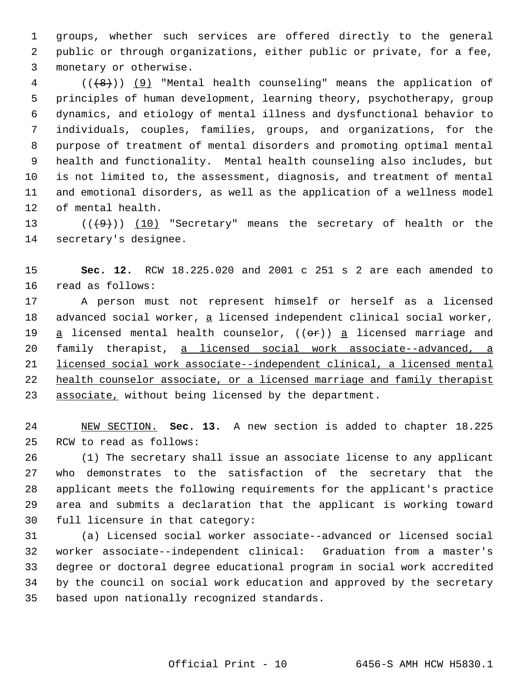groups, whether such services are offered directly to the general public or through organizations, either public or private, for a fee, monetary or otherwise.

4 (((8)) (9) "Mental health counseling" means the application of principles of human development, learning theory, psychotherapy, group dynamics, and etiology of mental illness and dysfunctional behavior to individuals, couples, families, groups, and organizations, for the purpose of treatment of mental disorders and promoting optimal mental health and functionality. Mental health counseling also includes, but is not limited to, the assessment, diagnosis, and treatment of mental and emotional disorders, as well as the application of a wellness model of mental health.

13 (((9)) (10) "Secretary" means the secretary of health or the secretary's designee.

 **Sec. 12.** RCW 18.225.020 and 2001 c 251 s 2 are each amended to read as follows:

 A person must not represent himself or herself as a licensed 18 advanced social worker, a licensed independent clinical social worker, 19  $a$  licensed mental health counselor, (( $\Theta$ r))  $a$  licensed marriage and family therapist, a licensed social work associate--advanced, a licensed social work associate--independent clinical, a licensed mental 22 health counselor associate, or a licensed marriage and family therapist 23 associate, without being licensed by the department.

 NEW SECTION. **Sec. 13.** A new section is added to chapter 18.225 RCW to read as follows:

 (1) The secretary shall issue an associate license to any applicant who demonstrates to the satisfaction of the secretary that the applicant meets the following requirements for the applicant's practice area and submits a declaration that the applicant is working toward full licensure in that category:

 (a) Licensed social worker associate--advanced or licensed social worker associate--independent clinical: Graduation from a master's degree or doctoral degree educational program in social work accredited by the council on social work education and approved by the secretary based upon nationally recognized standards.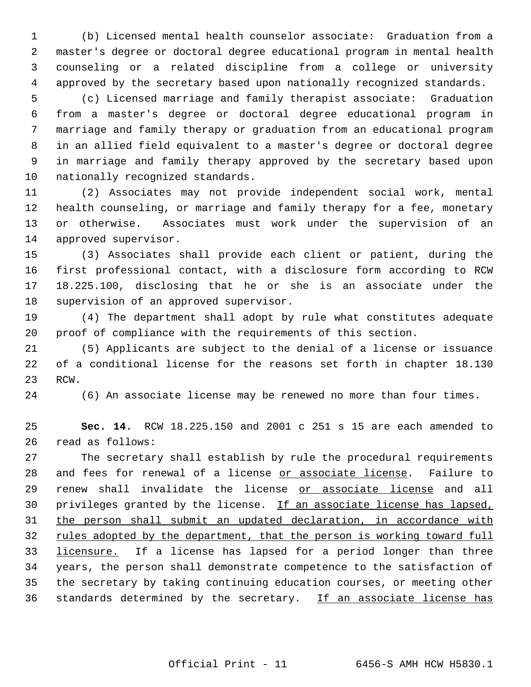(b) Licensed mental health counselor associate: Graduation from a master's degree or doctoral degree educational program in mental health counseling or a related discipline from a college or university approved by the secretary based upon nationally recognized standards.

 (c) Licensed marriage and family therapist associate: Graduation from a master's degree or doctoral degree educational program in marriage and family therapy or graduation from an educational program in an allied field equivalent to a master's degree or doctoral degree in marriage and family therapy approved by the secretary based upon nationally recognized standards.

 (2) Associates may not provide independent social work, mental health counseling, or marriage and family therapy for a fee, monetary or otherwise. Associates must work under the supervision of an approved supervisor.

 (3) Associates shall provide each client or patient, during the first professional contact, with a disclosure form according to RCW 18.225.100, disclosing that he or she is an associate under the supervision of an approved supervisor.

 (4) The department shall adopt by rule what constitutes adequate proof of compliance with the requirements of this section.

 (5) Applicants are subject to the denial of a license or issuance of a conditional license for the reasons set forth in chapter 18.130 RCW.

(6) An associate license may be renewed no more than four times.

 **Sec. 14.** RCW 18.225.150 and 2001 c 251 s 15 are each amended to read as follows:

 The secretary shall establish by rule the procedural requirements 28 and fees for renewal of a license or associate license. Failure to 29 renew shall invalidate the license or associate license and all privileges granted by the license. If an associate license has lapsed, the person shall submit an updated declaration, in accordance with 32 rules adopted by the department, that the person is working toward full 33 licensure. If a license has lapsed for a period longer than three years, the person shall demonstrate competence to the satisfaction of the secretary by taking continuing education courses, or meeting other 36 standards determined by the secretary. If an associate license has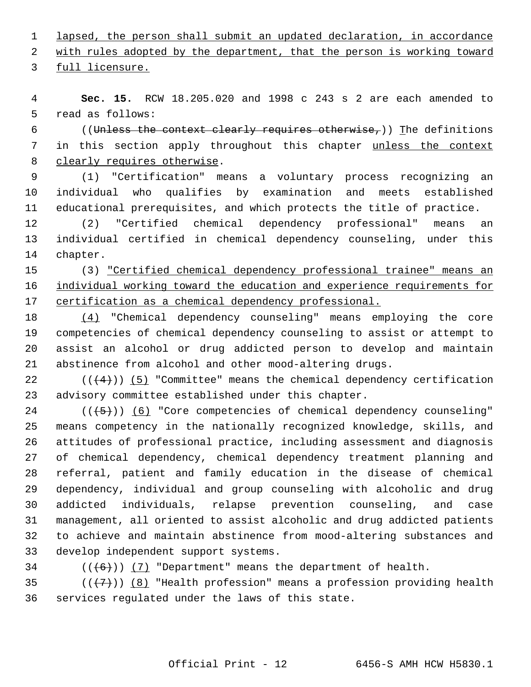lapsed, the person shall submit an updated declaration, in accordance

with rules adopted by the department, that the person is working toward

full licensure.

 **Sec. 15.** RCW 18.205.020 and 1998 c 243 s 2 are each amended to read as follows:

6 ((Unless the context clearly requires otherwise,)) The definitions 7 in this section apply throughout this chapter unless the context clearly requires otherwise.

 (1) "Certification" means a voluntary process recognizing an individual who qualifies by examination and meets established educational prerequisites, and which protects the title of practice.

 (2) "Certified chemical dependency professional" means an individual certified in chemical dependency counseling, under this chapter.

 (3) "Certified chemical dependency professional trainee" means an 16 individual working toward the education and experience requirements for certification as a chemical dependency professional.

 (4) "Chemical dependency counseling" means employing the core competencies of chemical dependency counseling to assist or attempt to assist an alcohol or drug addicted person to develop and maintain abstinence from alcohol and other mood-altering drugs.

22  $((+4))$   $(5)$  "Committee" means the chemical dependency certification advisory committee established under this chapter.

 $((\langle 5 \rangle)(6)$  "Core competencies of chemical dependency counseling" means competency in the nationally recognized knowledge, skills, and attitudes of professional practice, including assessment and diagnosis of chemical dependency, chemical dependency treatment planning and referral, patient and family education in the disease of chemical dependency, individual and group counseling with alcoholic and drug addicted individuals, relapse prevention counseling, and case management, all oriented to assist alcoholic and drug addicted patients to achieve and maintain abstinence from mood-altering substances and develop independent support systems.

34  $((+6))$   $(7)$  "Department" means the department of health.

35  $((+7))$   $(8)$  "Health profession" means a profession providing health services regulated under the laws of this state.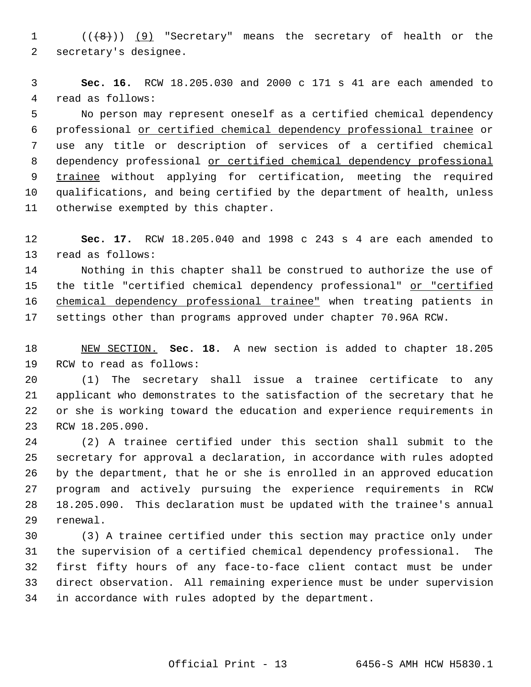1 (((8)) (9) "Secretary" means the secretary of health or the secretary's designee.

 **Sec. 16.** RCW 18.205.030 and 2000 c 171 s 41 are each amended to read as follows:

 No person may represent oneself as a certified chemical dependency professional or certified chemical dependency professional trainee or use any title or description of services of a certified chemical dependency professional or certified chemical dependency professional trainee without applying for certification, meeting the required qualifications, and being certified by the department of health, unless otherwise exempted by this chapter.

 **Sec. 17.** RCW 18.205.040 and 1998 c 243 s 4 are each amended to read as follows:

 Nothing in this chapter shall be construed to authorize the use of 15 the title "certified chemical dependency professional" or "certified chemical dependency professional trainee" when treating patients in settings other than programs approved under chapter 70.96A RCW.

 NEW SECTION. **Sec. 18.** A new section is added to chapter 18.205 RCW to read as follows:

 (1) The secretary shall issue a trainee certificate to any applicant who demonstrates to the satisfaction of the secretary that he or she is working toward the education and experience requirements in RCW 18.205.090.

 (2) A trainee certified under this section shall submit to the secretary for approval a declaration, in accordance with rules adopted by the department, that he or she is enrolled in an approved education program and actively pursuing the experience requirements in RCW 18.205.090. This declaration must be updated with the trainee's annual renewal.

 (3) A trainee certified under this section may practice only under the supervision of a certified chemical dependency professional. The first fifty hours of any face-to-face client contact must be under direct observation. All remaining experience must be under supervision in accordance with rules adopted by the department.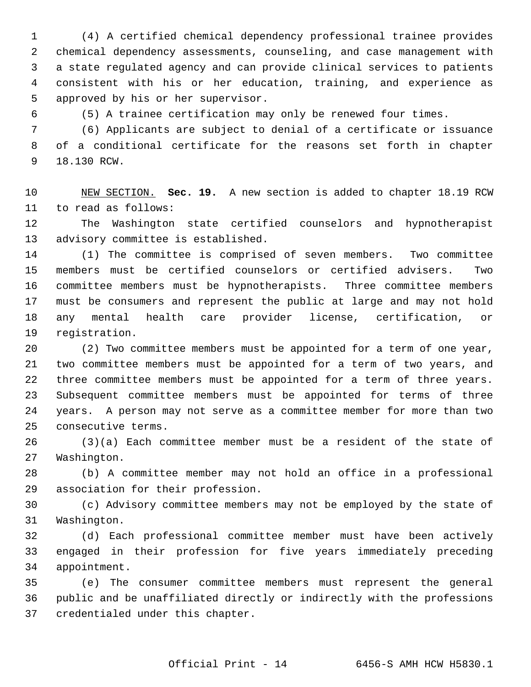(4) A certified chemical dependency professional trainee provides chemical dependency assessments, counseling, and case management with a state regulated agency and can provide clinical services to patients consistent with his or her education, training, and experience as approved by his or her supervisor.

(5) A trainee certification may only be renewed four times.

 (6) Applicants are subject to denial of a certificate or issuance of a conditional certificate for the reasons set forth in chapter 18.130 RCW.

 NEW SECTION. **Sec. 19.** A new section is added to chapter 18.19 RCW to read as follows:

 The Washington state certified counselors and hypnotherapist advisory committee is established.

 (1) The committee is comprised of seven members. Two committee members must be certified counselors or certified advisers. Two committee members must be hypnotherapists. Three committee members must be consumers and represent the public at large and may not hold any mental health care provider license, certification, or registration.

 (2) Two committee members must be appointed for a term of one year, two committee members must be appointed for a term of two years, and three committee members must be appointed for a term of three years. Subsequent committee members must be appointed for terms of three years. A person may not serve as a committee member for more than two consecutive terms.

 (3)(a) Each committee member must be a resident of the state of Washington.

 (b) A committee member may not hold an office in a professional association for their profession.

 (c) Advisory committee members may not be employed by the state of Washington.

 (d) Each professional committee member must have been actively engaged in their profession for five years immediately preceding appointment.

 (e) The consumer committee members must represent the general public and be unaffiliated directly or indirectly with the professions credentialed under this chapter.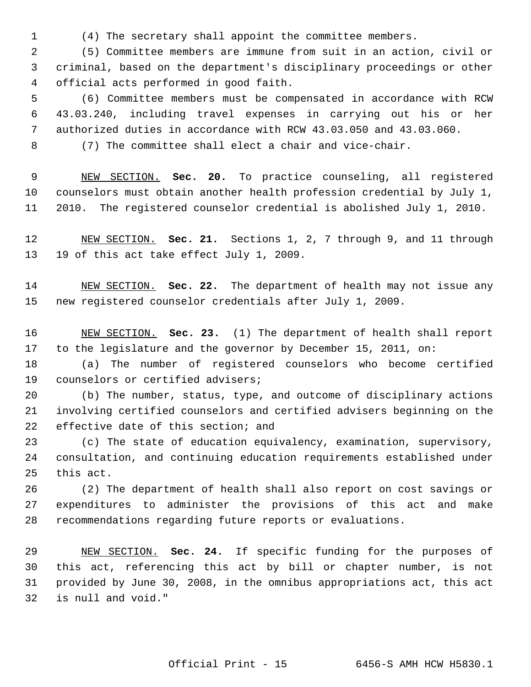(4) The secretary shall appoint the committee members.

 (5) Committee members are immune from suit in an action, civil or criminal, based on the department's disciplinary proceedings or other official acts performed in good faith.

 (6) Committee members must be compensated in accordance with RCW 43.03.240, including travel expenses in carrying out his or her authorized duties in accordance with RCW 43.03.050 and 43.03.060.

(7) The committee shall elect a chair and vice-chair.

 NEW SECTION. **Sec. 20.** To practice counseling, all registered counselors must obtain another health profession credential by July 1, 2010. The registered counselor credential is abolished July 1, 2010.

 NEW SECTION. **Sec. 21.** Sections 1, 2, 7 through 9, and 11 through 19 of this act take effect July 1, 2009.

 NEW SECTION. **Sec. 22.** The department of health may not issue any new registered counselor credentials after July 1, 2009.

 NEW SECTION. **Sec. 23.** (1) The department of health shall report to the legislature and the governor by December 15, 2011, on:

 (a) The number of registered counselors who become certified counselors or certified advisers;

 (b) The number, status, type, and outcome of disciplinary actions involving certified counselors and certified advisers beginning on the 22 effective date of this section; and

 (c) The state of education equivalency, examination, supervisory, consultation, and continuing education requirements established under this act.

 (2) The department of health shall also report on cost savings or expenditures to administer the provisions of this act and make recommendations regarding future reports or evaluations.

 NEW SECTION. **Sec. 24.** If specific funding for the purposes of this act, referencing this act by bill or chapter number, is not provided by June 30, 2008, in the omnibus appropriations act, this act is null and void."